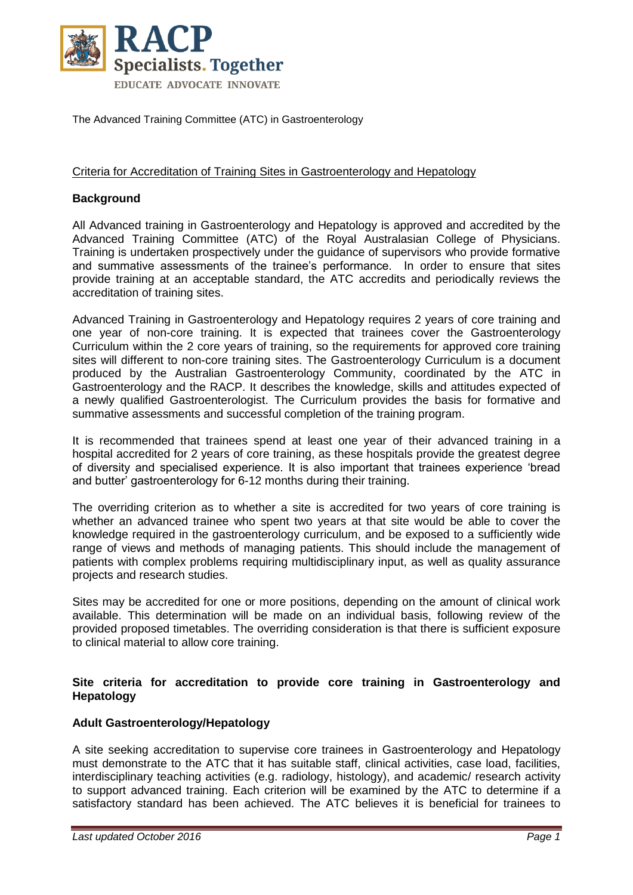

The Advanced Training Committee (ATC) in Gastroenterology

#### Criteria for Accreditation of Training Sites in Gastroenterology and Hepatology

#### **Background**

All Advanced training in Gastroenterology and Hepatology is approved and accredited by the Advanced Training Committee (ATC) of the Royal Australasian College of Physicians. Training is undertaken prospectively under the guidance of supervisors who provide formative and summative assessments of the trainee's performance. In order to ensure that sites provide training at an acceptable standard, the ATC accredits and periodically reviews the accreditation of training sites.

Advanced Training in Gastroenterology and Hepatology requires 2 years of core training and one year of non-core training. It is expected that trainees cover the Gastroenterology Curriculum within the 2 core years of training, so the requirements for approved core training sites will different to non-core training sites. The Gastroenterology Curriculum is a document produced by the Australian Gastroenterology Community, coordinated by the ATC in Gastroenterology and the RACP. It describes the knowledge, skills and attitudes expected of a newly qualified Gastroenterologist. The Curriculum provides the basis for formative and summative assessments and successful completion of the training program.

It is recommended that trainees spend at least one year of their advanced training in a hospital accredited for 2 years of core training, as these hospitals provide the greatest degree of diversity and specialised experience. It is also important that trainees experience 'bread and butter' gastroenterology for 6-12 months during their training.

The overriding criterion as to whether a site is accredited for two years of core training is whether an advanced trainee who spent two years at that site would be able to cover the knowledge required in the gastroenterology curriculum, and be exposed to a sufficiently wide range of views and methods of managing patients. This should include the management of patients with complex problems requiring multidisciplinary input, as well as quality assurance projects and research studies.

Sites may be accredited for one or more positions, depending on the amount of clinical work available. This determination will be made on an individual basis, following review of the provided proposed timetables. The overriding consideration is that there is sufficient exposure to clinical material to allow core training.

#### **Site criteria for accreditation to provide core training in Gastroenterology and Hepatology**

#### **Adult Gastroenterology/Hepatology**

A site seeking accreditation to supervise core trainees in Gastroenterology and Hepatology must demonstrate to the ATC that it has suitable staff, clinical activities, case load, facilities, interdisciplinary teaching activities (e.g. radiology, histology), and academic/ research activity to support advanced training. Each criterion will be examined by the ATC to determine if a satisfactory standard has been achieved. The ATC believes it is beneficial for trainees to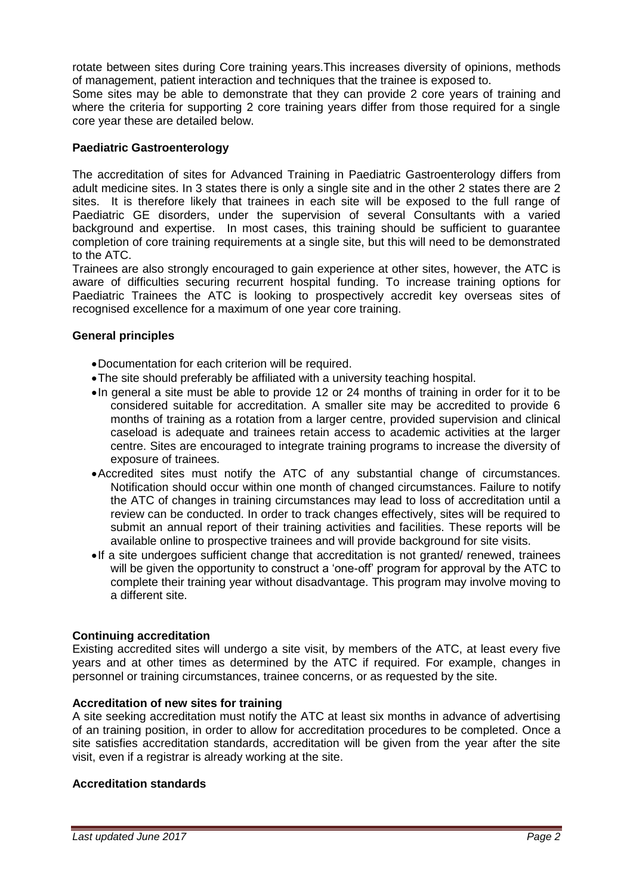rotate between sites during Core training years.This increases diversity of opinions, methods of management, patient interaction and techniques that the trainee is exposed to.

Some sites may be able to demonstrate that they can provide 2 core years of training and where the criteria for supporting 2 core training years differ from those required for a single core year these are detailed below.

# **Paediatric Gastroenterology**

The accreditation of sites for Advanced Training in Paediatric Gastroenterology differs from adult medicine sites. In 3 states there is only a single site and in the other 2 states there are 2 sites. It is therefore likely that trainees in each site will be exposed to the full range of Paediatric GE disorders, under the supervision of several Consultants with a varied background and expertise. In most cases, this training should be sufficient to guarantee completion of core training requirements at a single site, but this will need to be demonstrated to the ATC.

Trainees are also strongly encouraged to gain experience at other sites, however, the ATC is aware of difficulties securing recurrent hospital funding. To increase training options for Paediatric Trainees the ATC is looking to prospectively accredit key overseas sites of recognised excellence for a maximum of one year core training.

# **General principles**

- Documentation for each criterion will be required.
- The site should preferably be affiliated with a university teaching hospital.
- In general a site must be able to provide 12 or 24 months of training in order for it to be considered suitable for accreditation. A smaller site may be accredited to provide 6 months of training as a rotation from a larger centre, provided supervision and clinical caseload is adequate and trainees retain access to academic activities at the larger centre. Sites are encouraged to integrate training programs to increase the diversity of exposure of trainees.
- Accredited sites must notify the ATC of any substantial change of circumstances. Notification should occur within one month of changed circumstances. Failure to notify the ATC of changes in training circumstances may lead to loss of accreditation until a review can be conducted. In order to track changes effectively, sites will be required to submit an annual report of their training activities and facilities. These reports will be available online to prospective trainees and will provide background for site visits.
- If a site undergoes sufficient change that accreditation is not granted/ renewed, trainees will be given the opportunity to construct a 'one-off' program for approval by the ATC to complete their training year without disadvantage. This program may involve moving to a different site.

# **Continuing accreditation**

Existing accredited sites will undergo a site visit, by members of the ATC, at least every five years and at other times as determined by the ATC if required. For example, changes in personnel or training circumstances, trainee concerns, or as requested by the site.

# **Accreditation of new sites for training**

A site seeking accreditation must notify the ATC at least six months in advance of advertising of an training position, in order to allow for accreditation procedures to be completed. Once a site satisfies accreditation standards, accreditation will be given from the year after the site visit, even if a registrar is already working at the site.

# **Accreditation standards**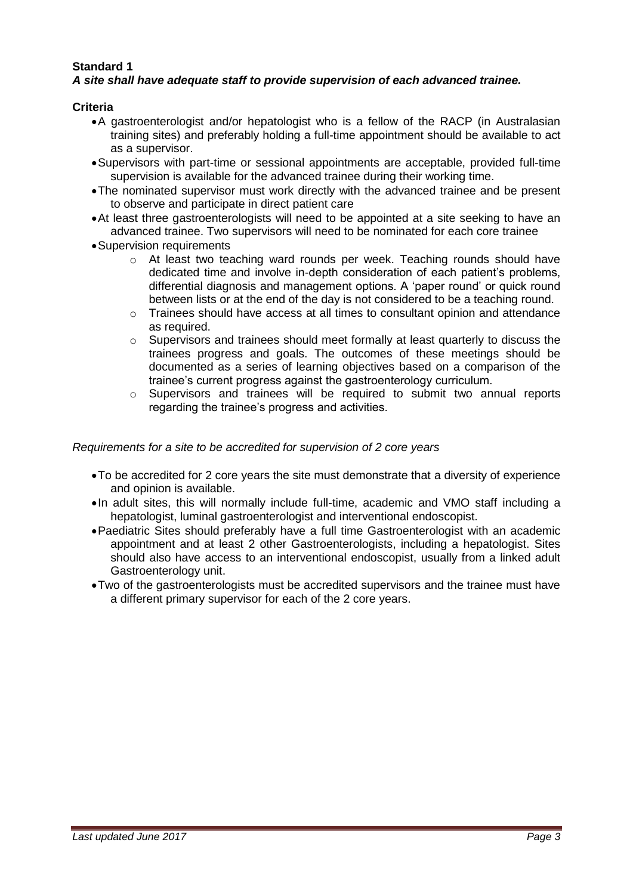# **Standard 1**

# *A site shall have adequate staff to provide supervision of each advanced trainee.*

#### **Criteria**

- A gastroenterologist and/or hepatologist who is a fellow of the RACP (in Australasian training sites) and preferably holding a full-time appointment should be available to act as a supervisor.
- Supervisors with part-time or sessional appointments are acceptable, provided full-time supervision is available for the advanced trainee during their working time.
- The nominated supervisor must work directly with the advanced trainee and be present to observe and participate in direct patient care
- At least three gastroenterologists will need to be appointed at a site seeking to have an advanced trainee. Two supervisors will need to be nominated for each core trainee
- Supervision requirements
	- o At least two teaching ward rounds per week. Teaching rounds should have dedicated time and involve in-depth consideration of each patient's problems, differential diagnosis and management options. A 'paper round' or quick round between lists or at the end of the day is not considered to be a teaching round.
	- $\circ$  Trainees should have access at all times to consultant opinion and attendance as required.
	- $\circ$  Supervisors and trainees should meet formally at least quarterly to discuss the trainees progress and goals. The outcomes of these meetings should be documented as a series of learning objectives based on a comparison of the trainee's current progress against the gastroenterology curriculum.
	- $\circ$  Supervisors and trainees will be required to submit two annual reports regarding the trainee's progress and activities.

#### *Requirements for a site to be accredited for supervision of 2 core years*

- To be accredited for 2 core years the site must demonstrate that a diversity of experience and opinion is available.
- •In adult sites, this will normally include full-time, academic and VMO staff including a hepatologist, luminal gastroenterologist and interventional endoscopist.
- Paediatric Sites should preferably have a full time Gastroenterologist with an academic appointment and at least 2 other Gastroenterologists, including a hepatologist. Sites should also have access to an interventional endoscopist, usually from a linked adult Gastroenterology unit.
- Two of the gastroenterologists must be accredited supervisors and the trainee must have a different primary supervisor for each of the 2 core years.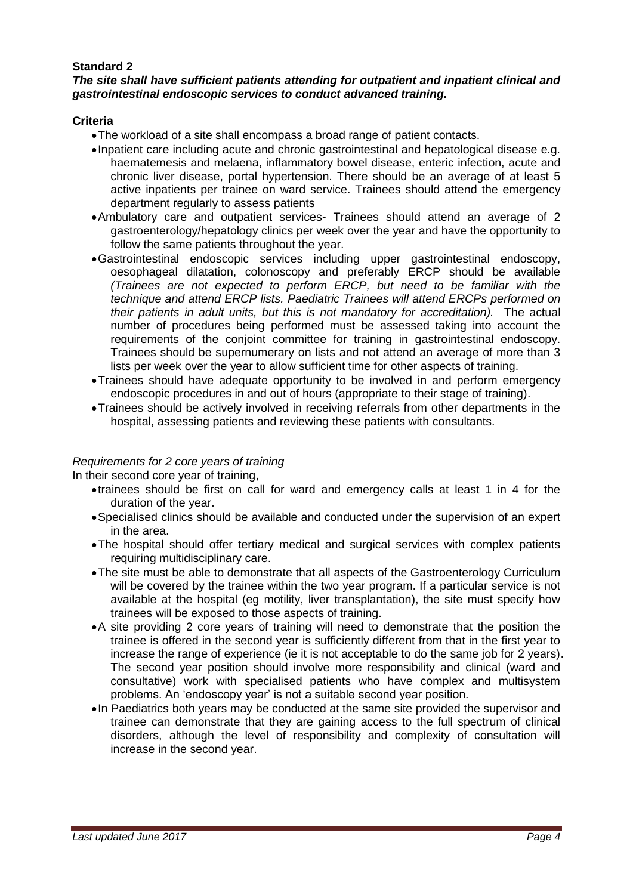# **Standard 2**

#### *The site shall have sufficient patients attending for outpatient and inpatient clinical and gastrointestinal endoscopic services to conduct advanced training.*

#### **Criteria**

- The workload of a site shall encompass a broad range of patient contacts.
- Inpatient care including acute and chronic gastrointestinal and hepatological disease e.g. haematemesis and melaena, inflammatory bowel disease, enteric infection, acute and chronic liver disease, portal hypertension. There should be an average of at least 5 active inpatients per trainee on ward service. Trainees should attend the emergency department regularly to assess patients
- Ambulatory care and outpatient services- Trainees should attend an average of 2 gastroenterology/hepatology clinics per week over the year and have the opportunity to follow the same patients throughout the year.
- Gastrointestinal endoscopic services including upper gastrointestinal endoscopy, oesophageal dilatation, colonoscopy and preferably ERCP should be available *(Trainees are not expected to perform ERCP, but need to be familiar with the technique and attend ERCP lists. Paediatric Trainees will attend ERCPs performed on their patients in adult units, but this is not mandatory for accreditation).* The actual number of procedures being performed must be assessed taking into account the requirements of the conjoint committee for training in gastrointestinal endoscopy. Trainees should be supernumerary on lists and not attend an average of more than 3 lists per week over the year to allow sufficient time for other aspects of training.
- Trainees should have adequate opportunity to be involved in and perform emergency endoscopic procedures in and out of hours (appropriate to their stage of training).
- Trainees should be actively involved in receiving referrals from other departments in the hospital, assessing patients and reviewing these patients with consultants.

# *Requirements for 2 core years of training*

In their second core year of training,

- trainees should be first on call for ward and emergency calls at least 1 in 4 for the duration of the year.
- Specialised clinics should be available and conducted under the supervision of an expert in the area.
- The hospital should offer tertiary medical and surgical services with complex patients requiring multidisciplinary care.
- The site must be able to demonstrate that all aspects of the Gastroenterology Curriculum will be covered by the trainee within the two year program. If a particular service is not available at the hospital (eg motility, liver transplantation), the site must specify how trainees will be exposed to those aspects of training.
- A site providing 2 core years of training will need to demonstrate that the position the trainee is offered in the second year is sufficiently different from that in the first year to increase the range of experience (ie it is not acceptable to do the same job for 2 years). The second year position should involve more responsibility and clinical (ward and consultative) work with specialised patients who have complex and multisystem problems. An 'endoscopy year' is not a suitable second year position.
- In Paediatrics both years may be conducted at the same site provided the supervisor and trainee can demonstrate that they are gaining access to the full spectrum of clinical disorders, although the level of responsibility and complexity of consultation will increase in the second year.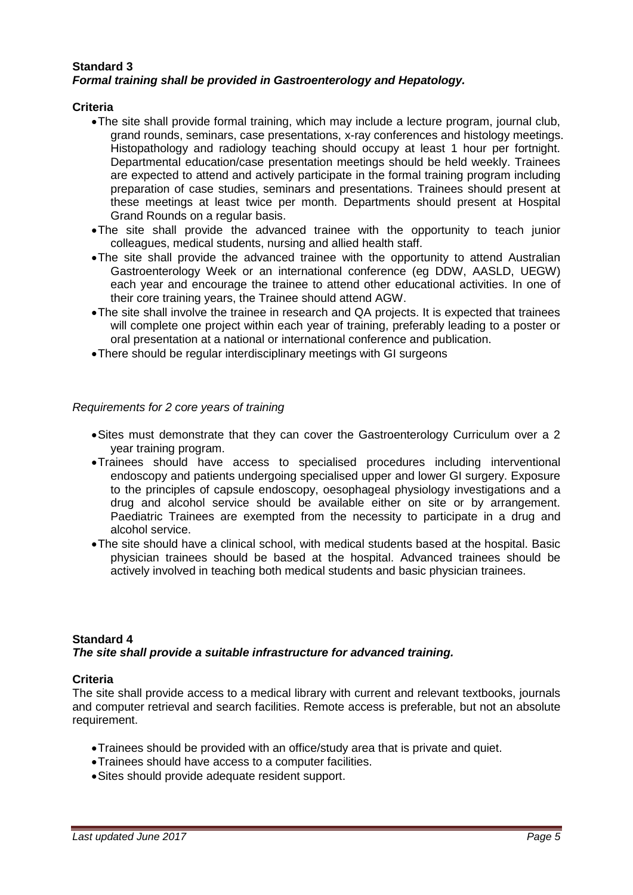#### **Standard 3** *Formal training shall be provided in Gastroenterology and Hepatology.*

#### **Criteria**

- The site shall provide formal training, which may include a lecture program, journal club, grand rounds, seminars, case presentations, x-ray conferences and histology meetings. Histopathology and radiology teaching should occupy at least 1 hour per fortnight. Departmental education/case presentation meetings should be held weekly. Trainees are expected to attend and actively participate in the formal training program including preparation of case studies, seminars and presentations. Trainees should present at these meetings at least twice per month. Departments should present at Hospital Grand Rounds on a regular basis.
- The site shall provide the advanced trainee with the opportunity to teach junior colleagues, medical students, nursing and allied health staff.
- The site shall provide the advanced trainee with the opportunity to attend Australian Gastroenterology Week or an international conference (eg DDW, AASLD, UEGW) each year and encourage the trainee to attend other educational activities. In one of their core training years, the Trainee should attend AGW.
- The site shall involve the trainee in research and QA projects. It is expected that trainees will complete one project within each year of training, preferably leading to a poster or oral presentation at a national or international conference and publication.
- There should be regular interdisciplinary meetings with GI surgeons

#### *Requirements for 2 core years of training*

- Sites must demonstrate that they can cover the Gastroenterology Curriculum over a 2 year training program.
- Trainees should have access to specialised procedures including interventional endoscopy and patients undergoing specialised upper and lower GI surgery. Exposure to the principles of capsule endoscopy, oesophageal physiology investigations and a drug and alcohol service should be available either on site or by arrangement. Paediatric Trainees are exempted from the necessity to participate in a drug and alcohol service.
- The site should have a clinical school, with medical students based at the hospital. Basic physician trainees should be based at the hospital. Advanced trainees should be actively involved in teaching both medical students and basic physician trainees.

# **Standard 4**

# *The site shall provide a suitable infrastructure for advanced training.*

# **Criteria**

The site shall provide access to a medical library with current and relevant textbooks, journals and computer retrieval and search facilities. Remote access is preferable, but not an absolute requirement.

- Trainees should be provided with an office/study area that is private and quiet.
- Trainees should have access to a computer facilities.
- Sites should provide adequate resident support.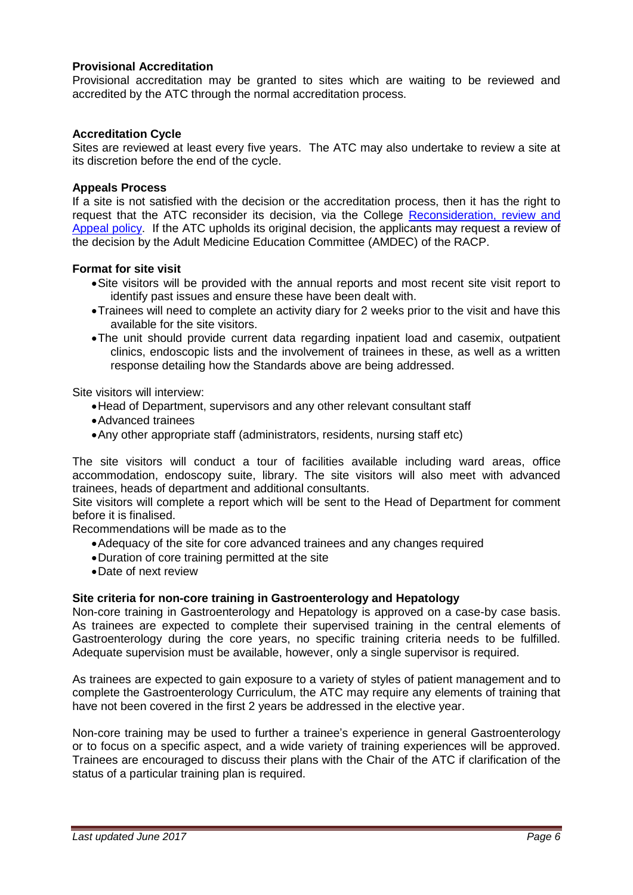# **Provisional Accreditation**

Provisional accreditation may be granted to sites which are waiting to be reviewed and accredited by the ATC through the normal accreditation process.

# **Accreditation Cycle**

Sites are reviewed at least every five years. The ATC may also undertake to review a site at its discretion before the end of the cycle.

#### **Appeals Process**

If a site is not satisfied with the decision or the accreditation process, then it has the right to request that the ATC reconsider its decision, via the College [Reconsideration, review and](https://www.racp.edu.au/docs/default-source/default-document-library/reconsideration-review-and-appeals-by-law.pdf?sfvrsn=2)  [Appeal policy.](https://www.racp.edu.au/docs/default-source/default-document-library/reconsideration-review-and-appeals-by-law.pdf?sfvrsn=2) If the ATC upholds its original decision, the applicants may request a review of the decision by the Adult Medicine Education Committee (AMDEC) of the RACP.

#### **Format for site visit**

- Site visitors will be provided with the annual reports and most recent site visit report to identify past issues and ensure these have been dealt with.
- Trainees will need to complete an activity diary for 2 weeks prior to the visit and have this available for the site visitors.
- The unit should provide current data regarding inpatient load and casemix, outpatient clinics, endoscopic lists and the involvement of trainees in these, as well as a written response detailing how the Standards above are being addressed.

Site visitors will interview:

- Head of Department, supervisors and any other relevant consultant staff
- Advanced trainees
- Any other appropriate staff (administrators, residents, nursing staff etc)

The site visitors will conduct a tour of facilities available including ward areas, office accommodation, endoscopy suite, library. The site visitors will also meet with advanced trainees, heads of department and additional consultants.

Site visitors will complete a report which will be sent to the Head of Department for comment before it is finalised.

Recommendations will be made as to the

- Adequacy of the site for core advanced trainees and any changes required
- Duration of core training permitted at the site
- Date of next review

# **Site criteria for non-core training in Gastroenterology and Hepatology**

Non-core training in Gastroenterology and Hepatology is approved on a case-by case basis. As trainees are expected to complete their supervised training in the central elements of Gastroenterology during the core years, no specific training criteria needs to be fulfilled. Adequate supervision must be available, however, only a single supervisor is required.

As trainees are expected to gain exposure to a variety of styles of patient management and to complete the Gastroenterology Curriculum, the ATC may require any elements of training that have not been covered in the first 2 years be addressed in the elective year.

Non-core training may be used to further a trainee's experience in general Gastroenterology or to focus on a specific aspect, and a wide variety of training experiences will be approved. Trainees are encouraged to discuss their plans with the Chair of the ATC if clarification of the status of a particular training plan is required.